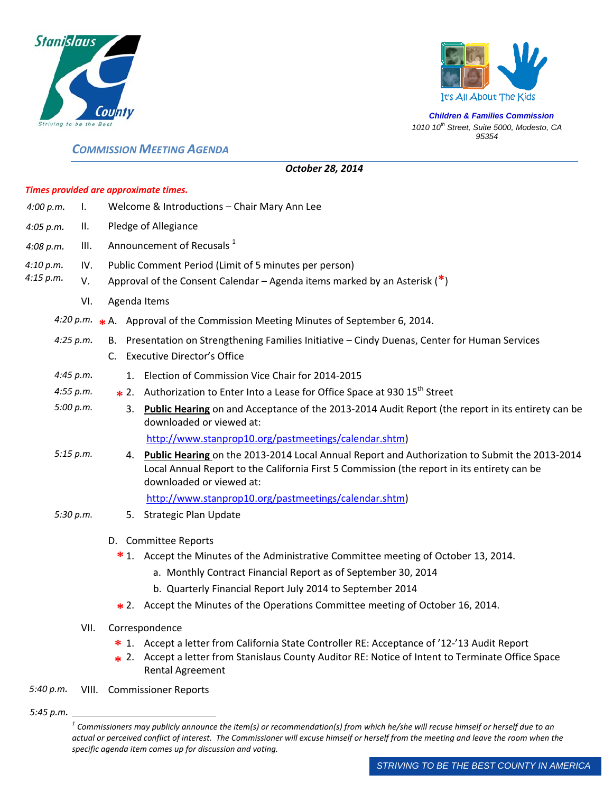



*Children & Families Commission 1010 10th Street, Suite 5000, Modesto, CA 95354*

## *COMMISSION MEETING AGENDA*

|                  |           |                                                       |                                                                             |    | Times provided are approximate times.                                                                                                                                                                                       |  |
|------------------|-----------|-------------------------------------------------------|-----------------------------------------------------------------------------|----|-----------------------------------------------------------------------------------------------------------------------------------------------------------------------------------------------------------------------------|--|
| 4:00 p.m.        | Ι.        |                                                       | Welcome & Introductions - Chair Mary Ann Lee                                |    |                                                                                                                                                                                                                             |  |
| II.<br>4:05 p.m. |           |                                                       | Pledge of Allegiance                                                        |    |                                                                                                                                                                                                                             |  |
| 4:08 p.m.        | III.      | Announcement of Recusals <sup>1</sup>                 |                                                                             |    |                                                                                                                                                                                                                             |  |
| 4:10 p.m.        | IV.       | Public Comment Period (Limit of 5 minutes per person) |                                                                             |    |                                                                                                                                                                                                                             |  |
| 4:15 p.m.        | V.        |                                                       | Approval of the Consent Calendar – Agenda items marked by an Asterisk $(*)$ |    |                                                                                                                                                                                                                             |  |
|                  | VI.       |                                                       |                                                                             |    | Agenda Items                                                                                                                                                                                                                |  |
|                  |           |                                                       |                                                                             |    | 4:20 p.m. $\star$ A. Approval of the Commission Meeting Minutes of September 6, 2014.                                                                                                                                       |  |
|                  | 4:25 p.m. |                                                       |                                                                             |    | B. Presentation on Strengthening Families Initiative - Cindy Duenas, Center for Human Services<br>C. Executive Director's Office                                                                                            |  |
|                  | 4:45 p.m. |                                                       |                                                                             |    | 1. Election of Commission Vice Chair for 2014-2015                                                                                                                                                                          |  |
|                  | 4:55 p.m. |                                                       |                                                                             |    | <b>∗</b> 2. Authorization to Enter Into a Lease for Office Space at 930 15 <sup>th</sup> Street                                                                                                                             |  |
|                  | 5:00 p.m. |                                                       |                                                                             | 3. | Public Hearing on and Acceptance of the 2013-2014 Audit Report (the report in its entirety can be<br>downloaded or viewed at:                                                                                               |  |
|                  |           |                                                       |                                                                             |    | http://www.stanprop10.org/pastmeetings/calendar.shtm)                                                                                                                                                                       |  |
| 5:15 p.m.        |           |                                                       |                                                                             |    | 4. Public Hearing on the 2013-2014 Local Annual Report and Authorization to Submit the 2013-2014<br>Local Annual Report to the California First 5 Commission (the report in its entirety can be<br>downloaded or viewed at: |  |
|                  |           |                                                       |                                                                             |    | http://www.stanprop10.org/pastmeetings/calendar.shtm)                                                                                                                                                                       |  |
|                  | 5:30 p.m. |                                                       |                                                                             |    | 5. Strategic Plan Update                                                                                                                                                                                                    |  |
|                  |           |                                                       |                                                                             |    | D. Committee Reports                                                                                                                                                                                                        |  |
|                  |           |                                                       |                                                                             |    | *1. Accept the Minutes of the Administrative Committee meeting of October 13, 2014.                                                                                                                                         |  |
|                  |           |                                                       |                                                                             |    | a. Monthly Contract Financial Report as of September 30, 2014                                                                                                                                                               |  |
|                  |           |                                                       |                                                                             |    | b. Quarterly Financial Report July 2014 to September 2014                                                                                                                                                                   |  |

*October 28, 2014*

- 2. Accept the Minutes of the Operations Committee meeting of October 16, 2014. **\***
- VII. Correspondence
	- 1. Accept a letter from California State Controller RE: Acceptance of '12‐'13 Audit Report **\***
	- 2. Accept a letter from Stanislaus County Auditor RE: Notice of Intent to Terminate Office Space **\*** Rental Agreement
- *5:40 p.m.* VIII. Commissioner Reports
- *5:45 p.m.*

 $\overline{a}$ 

 $1$  Commissioners may publicly announce the item(s) or recommendation(s) from which he/she will recuse himself or herself due to an actual or perceived conflict of interest. The Commissioner will excuse himself or herself from the meeting and leave the room when the *specific agenda item comes up for discussion and voting.*